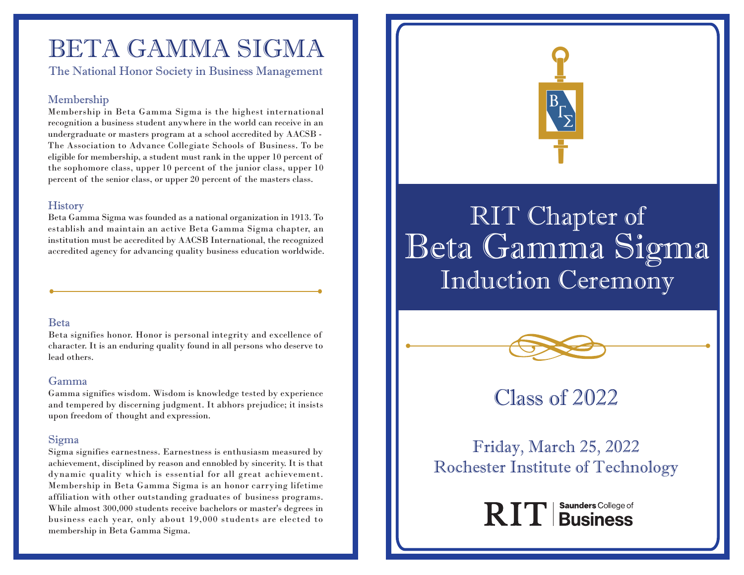# BETA GAMMA SIGMA

The National Honor Society in Business Management

### Membership

Membership in Beta Gamma Sigma is the highest international recognition a business student anywhere in the world can receive in an undergraduate or masters program at a school accredited by AACSB - The Association to Advance Collegiate Schools of Business. To be eligible for membership, a student must rank in the upper 10 percent of the sophomore class, upper 10 percent of the junior class, upper 10 percent of the senior class, or upper 20 percent of the masters class.

#### **History**

Beta Gamma Sigma was founded as a national organization in 1913. To establish and maintain an active Beta Gamma Sigma chapter, an institution must be accredited by AACSB International, the recognized accredited agency for advancing quality business education worldwide.

#### Beta

Beta signifies honor. Honor is personal integrity and excellence of character. It is an enduring quality found in all persons who deserve to lead others.

#### Gamma

Gamma signifies wisdom. Wisdom is knowledge tested by experience and tempered by discerning judgment. It abhors prejudice; it insists upon freedom of thought and expression.

#### Sigma

Sigma signifies earnestness. Earnestness is enthusiasm measured by achievement, disciplined by reason and ennobled by sincerity. It is that dynamic quality which is essential for all great achievement. Membership in Beta Gamma Sigma is an honor carrying lifetime affiliation with other outstanding graduates of business programs. While almost 300,000 students receive bachelors or master's degrees in business each year, only about 19,000 students are elected to membership in Beta Gamma Sigma.



# RIT Chapter of Beta Gamma Sigma Induction Ceremony



# Class of 2022

Friday, March 25, 2022 Rochester Institute of Technology

RIT | Business